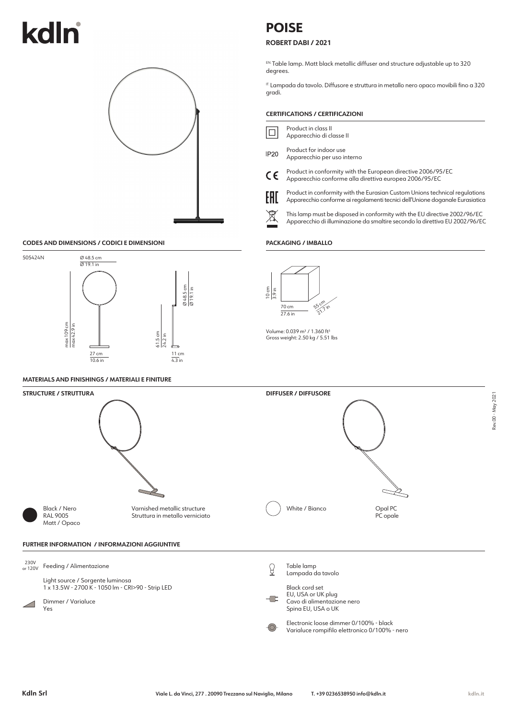# kd



## **CODES AND DIMENSIONS / CODICI E DIMENSIONI**



## **MATERIALS AND FINISHINGS / MATERIALI E FINITURE**

# **POISE**

## **ROBERT DABI / 2021**

EN. Table lamp. Matt black metallic diffuser and structure adjustable up to 320 degrees.

IT. Lampada da tavolo. Diffusore e struttura in metallo nero opaco movibili fino a 320 gradi.

### **CERTIFICATIONS / CERTIFICAZIONI**

- Product in class II 10 Apparecchio di classe II
- Product for indoor use **IP20** Apparecchio per uso interno
- Product in conformity with the European directive 2006/95/EC CE Apparecchio conforme alla direttiva europea 2006/95/EC
	-
- Product in conformity with the Eurasian Custom Unions technical regulations FHT Apparecchio conforme ai regolamenti tecnici dell'Unione doganale Eurasiatica
- This lamp must be disposed in conformity with the EU directive 2002/96/EC Apparecchio di illuminazione da smaltire secondo la direttiva EU 2002/96/EC

#### **PACKAGING / IMBALLO**



Volume: 0.039 m3 / 1.360 ft3 Gross weight: 2.50 kg / 5.51 lbs